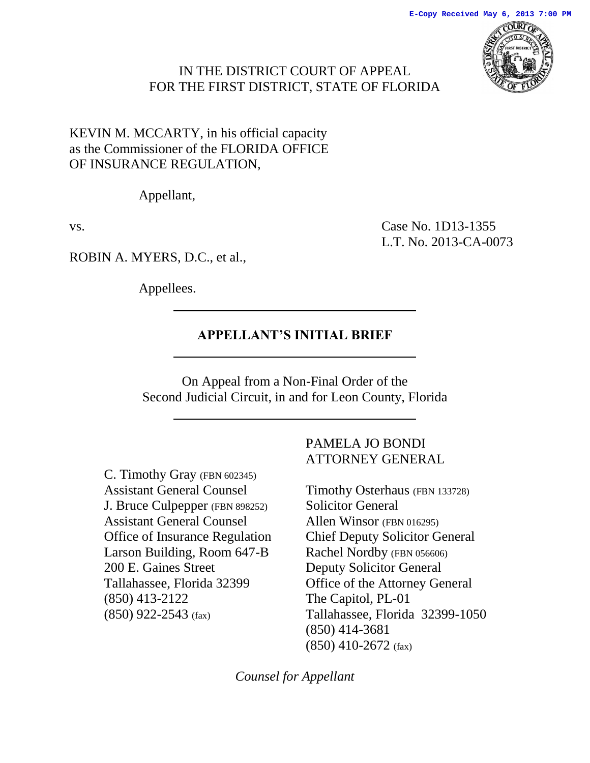## IN THE DISTRICT COURT OF APPEAL FOR THE FIRST DISTRICT, STATE OF FLORIDA

## KEVIN M. MCCARTY, in his official capacity as the Commissioner of the FLORIDA OFFICE OF INSURANCE REGULATION*,*

Appellant,

vs. Case No. 1D13-1355 L.T. No. 2013-CA-0073

ROBIN A. MYERS, D.C., et al.,

Appellees.

## **APPELLANT'S INITIAL BRIEF**

On Appeal from a Non-Final Order of the Second Judicial Circuit, in and for Leon County, Florida

C. Timothy Gray (FBN 602345) Assistant General Counsel J. Bruce Culpepper (FBN 898252) Assistant General Counsel Office of Insurance Regulation Larson Building, Room 647-B 200 E. Gaines Street Tallahassee, Florida 32399 (850) 413-2122 (850) 922-2543 (fax)

## PAMELA JO BONDI ATTORNEY GENERAL

Timothy Osterhaus (FBN 133728) Solicitor General Allen Winsor (FBN 016295) Chief Deputy Solicitor General Rachel Nordby (FBN 056606) Deputy Solicitor General Office of the Attorney General The Capitol, PL-01 Tallahassee, Florida 32399-1050 (850) 414-3681 (850) 410-2672 (fax)

*Counsel for Appellant*

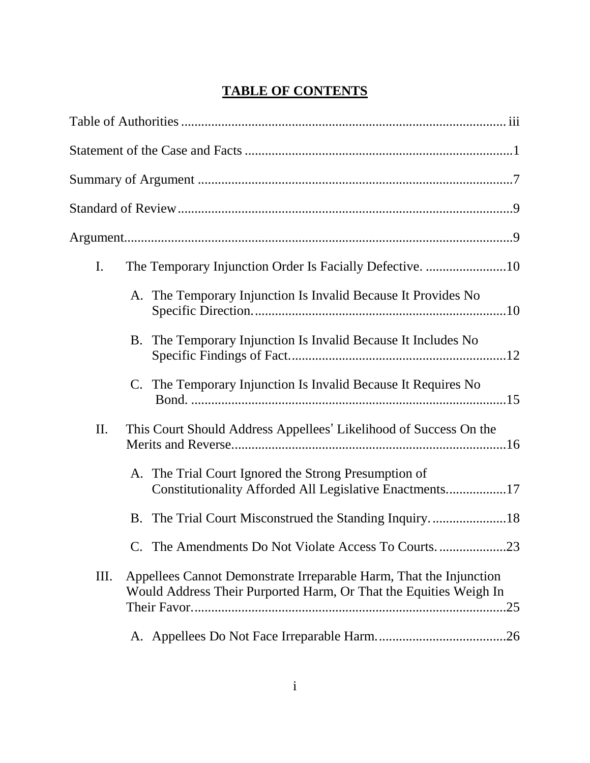# **TABLE OF CONTENTS**

| I.  |    | The Temporary Injunction Order Is Facially Defective. 10                                                                                       |
|-----|----|------------------------------------------------------------------------------------------------------------------------------------------------|
|     |    | A. The Temporary Injunction Is Invalid Because It Provides No                                                                                  |
|     | В. | The Temporary Injunction Is Invalid Because It Includes No                                                                                     |
|     | C. | The Temporary Injunction Is Invalid Because It Requires No                                                                                     |
| II. |    | This Court Should Address Appellees' Likelihood of Success On the                                                                              |
|     |    | A. The Trial Court Ignored the Strong Presumption of<br>Constitutionality Afforded All Legislative Enactments17                                |
|     | B. |                                                                                                                                                |
|     |    | C. The Amendments Do Not Violate Access To Courts23                                                                                            |
| Ш.  |    | Appellees Cannot Demonstrate Irreparable Harm, That the Injunction<br>Would Address Their Purported Harm, Or That the Equities Weigh In<br>.25 |
|     |    |                                                                                                                                                |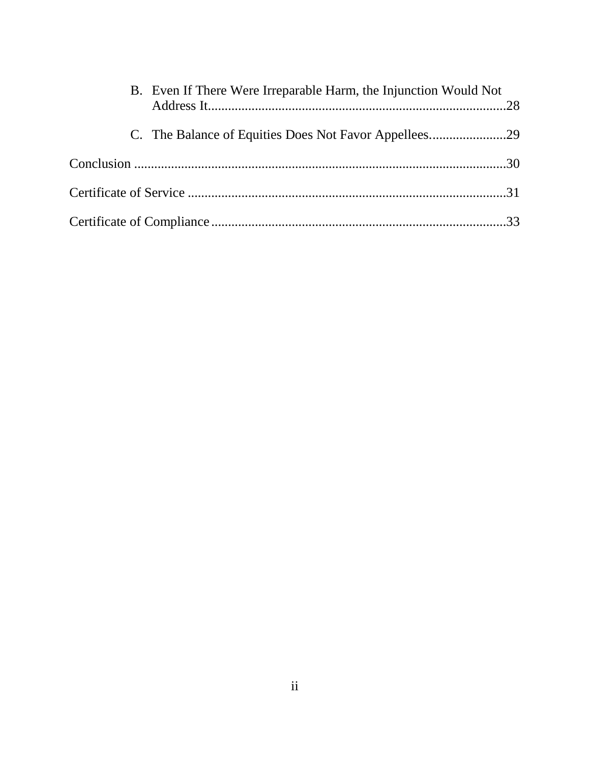| B. Even If There Were Irreparable Harm, the Injunction Would Not |  |
|------------------------------------------------------------------|--|
| C. The Balance of Equities Does Not Favor Appellees29            |  |
|                                                                  |  |
|                                                                  |  |
|                                                                  |  |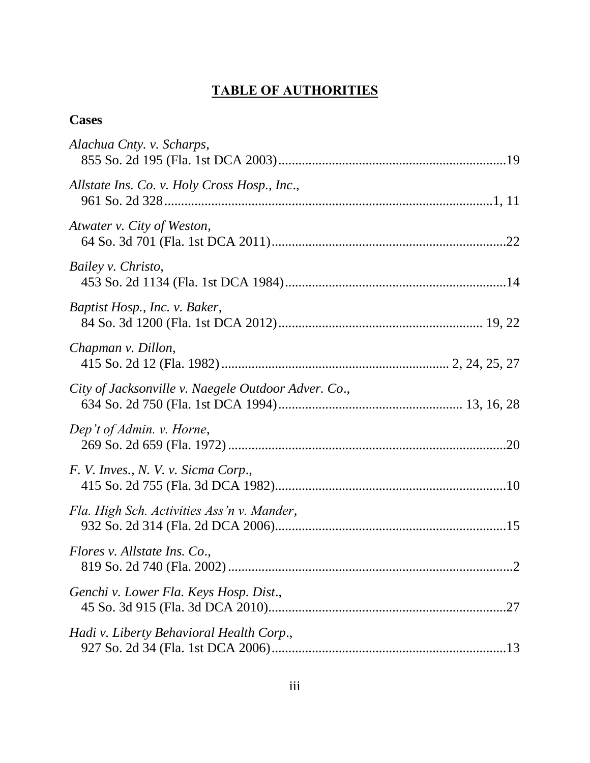# **TABLE OF AUTHORITIES**

# <span id="page-3-0"></span>**Cases**

| Alachua Cnty. v. Scharps,                           |
|-----------------------------------------------------|
| Allstate Ins. Co. v. Holy Cross Hosp., Inc.,        |
| Atwater v. City of Weston,                          |
| Bailey v. Christo,                                  |
| Baptist Hosp., Inc. v. Baker,                       |
| Chapman v. Dillon,                                  |
| City of Jacksonville v. Naegele Outdoor Adver. Co., |
| Dep't of Admin. v. Horne,                           |
| F. V. Inves., N. V. v. Sicma Corp.,                 |
| Fla. High Sch. Activities Ass'n v. Mander,          |
| Flores v. Allstate Ins. Co.,<br>.2                  |
| Genchi v. Lower Fla. Keys Hosp. Dist.,              |
| Hadi v. Liberty Behavioral Health Corp.,            |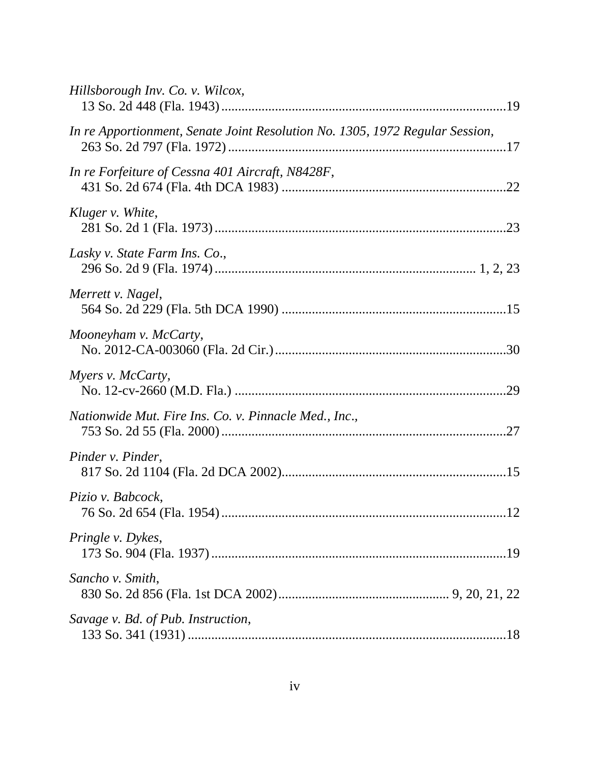| Hillsborough Inv. Co. v. Wilcox,                                             |  |
|------------------------------------------------------------------------------|--|
| In re Apportionment, Senate Joint Resolution No. 1305, 1972 Regular Session, |  |
| In re Forfeiture of Cessna 401 Aircraft, N8428F,                             |  |
| Kluger v. White,                                                             |  |
| Lasky v. State Farm Ins. Co.,                                                |  |
| Merrett v. Nagel,                                                            |  |
| Mooneyham v. McCarty,                                                        |  |
| Myers v. McCarty,                                                            |  |
| Nationwide Mut. Fire Ins. Co. v. Pinnacle Med., Inc.,                        |  |
| Pinder v. Pinder,                                                            |  |
| Pizio v. Babcock,                                                            |  |
| Pringle v. Dykes,                                                            |  |
| Sancho v. Smith,                                                             |  |
| Savage v. Bd. of Pub. Instruction,                                           |  |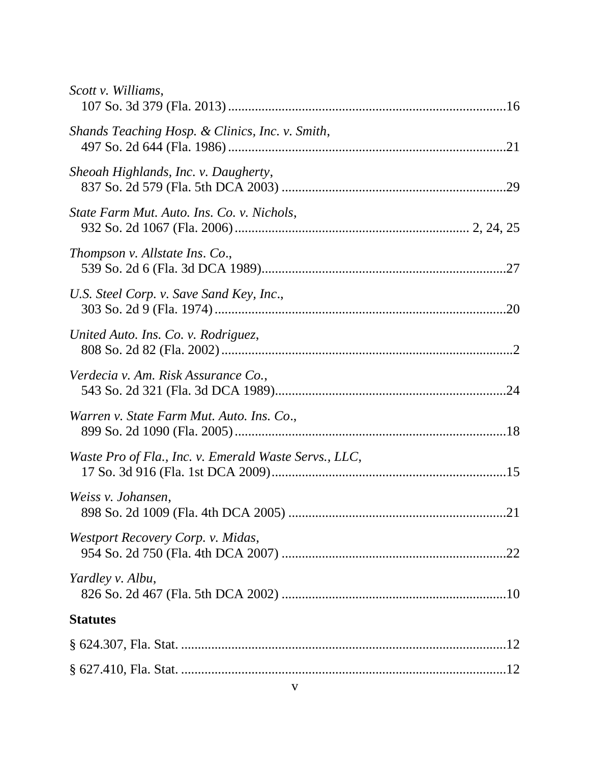| Scott v. Williams,                                    |  |
|-------------------------------------------------------|--|
| Shands Teaching Hosp. & Clinics, Inc. v. Smith,       |  |
| Sheoah Highlands, Inc. v. Daugherty,                  |  |
| State Farm Mut. Auto. Ins. Co. v. Nichols,            |  |
| Thompson v. Allstate Ins. Co.,                        |  |
| U.S. Steel Corp. v. Save Sand Key, Inc.,              |  |
| United Auto. Ins. Co. v. Rodriguez,                   |  |
| Verdecia v. Am. Risk Assurance Co.,                   |  |
| Warren v. State Farm Mut. Auto. Ins. Co.,             |  |
| Waste Pro of Fla., Inc. v. Emerald Waste Servs., LLC, |  |
| Weiss v. Johansen,                                    |  |
| Westport Recovery Corp. v. Midas,                     |  |
| Yardley v. Albu,                                      |  |
| <b>Statutes</b>                                       |  |
|                                                       |  |
|                                                       |  |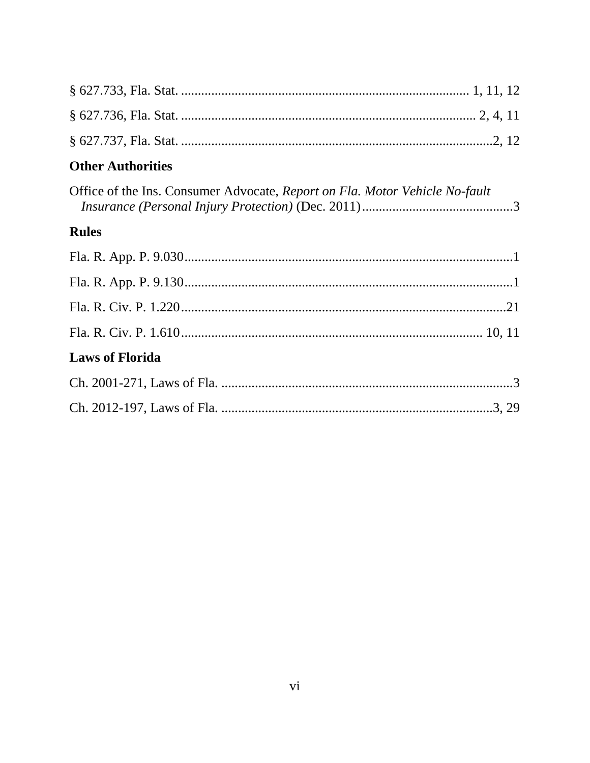## **Other Authorities**

| Office of the Ins. Consumer Advocate, Report on Fla. Motor Vehicle No-fault |  |
|-----------------------------------------------------------------------------|--|
|                                                                             |  |

## **Rules**

| <b>Laws of Florida</b> |  |
|------------------------|--|
|                        |  |
|                        |  |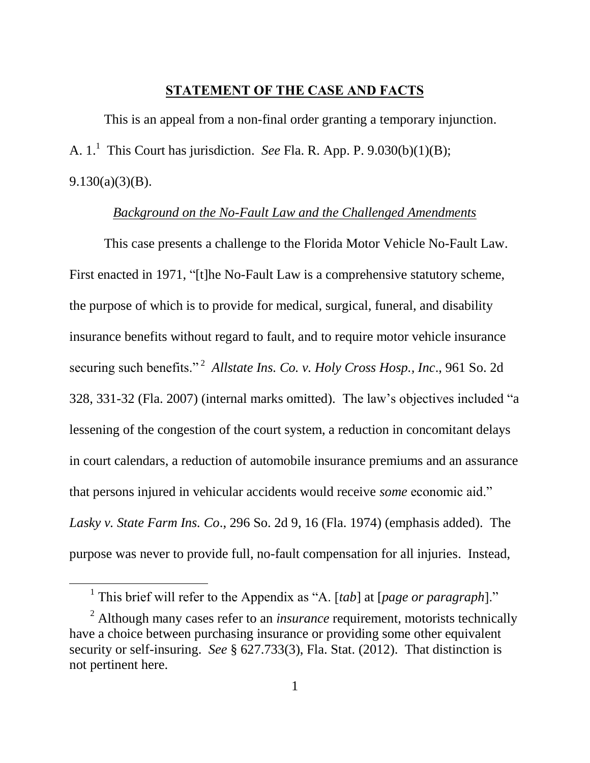#### **STATEMENT OF THE CASE AND FACTS**

<span id="page-7-0"></span>This is an appeal from a non-final order granting a temporary injunction. A. 1. 1 This Court has jurisdiction. *See* Fla. R. App. P. 9.030(b)(1)(B); 9.130(a)(3)(B).

#### *Background on the No-Fault Law and the Challenged Amendments*

This case presents a challenge to the Florida Motor Vehicle No-Fault Law. First enacted in 1971, "[t]he No-Fault Law is a comprehensive statutory scheme, the purpose of which is to provide for medical, surgical, funeral, and disability insurance benefits without regard to fault, and to require motor vehicle insurance securing such benefits."<sup>2</sup> Allstate Ins. Co. v. Holy Cross Hosp., Inc., 961 So. 2d 328, 331-32 (Fla. 2007) (internal marks omitted). The law's objectives included "a lessening of the congestion of the court system, a reduction in concomitant delays in court calendars, a reduction of automobile insurance premiums and an assurance that persons injured in vehicular accidents would receive *some* economic aid." *Lasky v. State Farm Ins. Co*., 296 So. 2d 9, 16 (Fla. 1974) (emphasis added). The purpose was never to provide full, no-fault compensation for all injuries. Instead,

<sup>&</sup>lt;sup>1</sup> This brief will refer to the Appendix as "A. [tab] at [page or paragraph]."

<sup>2</sup> Although many cases refer to an *insurance* requirement, motorists technically have a choice between purchasing insurance or providing some other equivalent security or self-insuring. *See* § 627.733(3), Fla. Stat. (2012). That distinction is not pertinent here.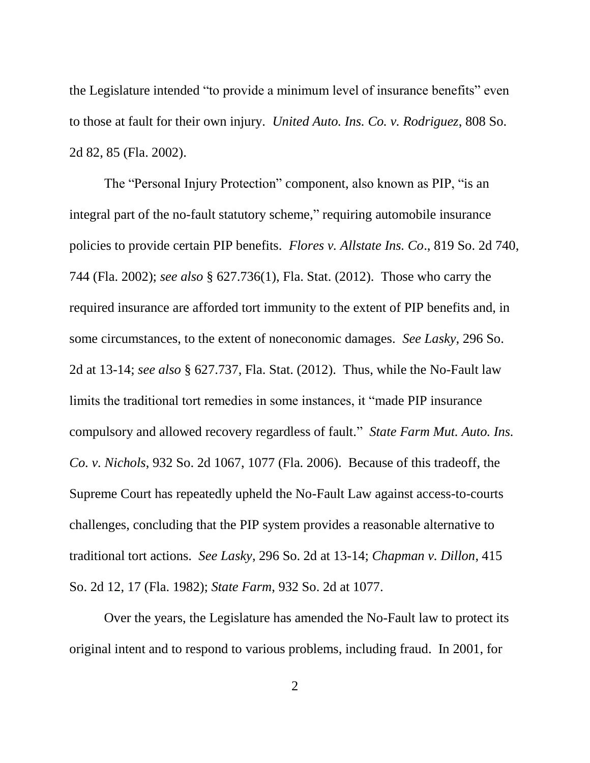the Legislature intended "to provide a minimum level of insurance benefits" even to those at fault for their own injury. *United Auto. Ins. Co. v. Rodriguez*, 808 So. 2d 82, 85 (Fla. 2002).

The "Personal Injury Protection" component, also known as PIP, "is an integral part of the no-fault statutory scheme," requiring automobile insurance policies to provide certain PIP benefits. *Flores v. Allstate Ins. Co*., 819 So. 2d 740, 744 (Fla. 2002); *see also* § 627.736(1), Fla. Stat. (2012). Those who carry the required insurance are afforded tort immunity to the extent of PIP benefits and, in some circumstances, to the extent of noneconomic damages. *See Lasky*, 296 So. 2d at 13-14; *see also* § 627.737, Fla. Stat. (2012). Thus, while the No-Fault law limits the traditional tort remedies in some instances, it "made PIP insurance compulsory and allowed recovery regardless of fault." *State Farm Mut. Auto. Ins. Co. v. Nichols*, 932 So. 2d 1067, 1077 (Fla. 2006). Because of this tradeoff, the Supreme Court has repeatedly upheld the No-Fault Law against access-to-courts challenges, concluding that the PIP system provides a reasonable alternative to traditional tort actions. *See Lasky*, 296 So. 2d at 13-14; *Chapman v. Dillon*, 415 So. 2d 12, 17 (Fla. 1982); *State Farm*, 932 So. 2d at 1077.

Over the years, the Legislature has amended the No-Fault law to protect its original intent and to respond to various problems, including fraud. In 2001, for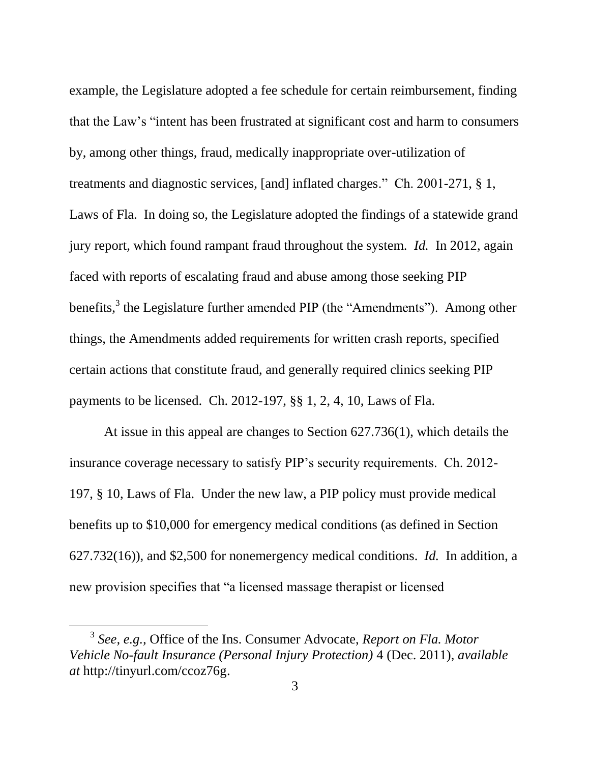example, the Legislature adopted a fee schedule for certain reimbursement, finding that the Law's "intent has been frustrated at significant cost and harm to consumers by, among other things, fraud, medically inappropriate over-utilization of treatments and diagnostic services, [and] inflated charges." Ch. 2001-271, § 1, Laws of Fla. In doing so, the Legislature adopted the findings of a statewide grand jury report, which found rampant fraud throughout the system. *Id.* In 2012, again faced with reports of escalating fraud and abuse among those seeking PIP benefits,<sup>3</sup> the Legislature further amended PIP (the "Amendments"). Among other things, the Amendments added requirements for written crash reports, specified certain actions that constitute fraud, and generally required clinics seeking PIP payments to be licensed. Ch. 2012-197, §§ 1, 2, 4, 10, Laws of Fla.

At issue in this appeal are changes to Section 627.736(1), which details the insurance coverage necessary to satisfy PIP's security requirements. Ch. 2012- 197, § 10, Laws of Fla. Under the new law, a PIP policy must provide medical benefits up to \$10,000 for emergency medical conditions (as defined in Section 627.732(16)), and \$2,500 for nonemergency medical conditions. *Id.* In addition, a new provision specifies that "a licensed massage therapist or licensed

<sup>3</sup> *See, e.g.,* Office of the Ins. Consumer Advocate, *Report on Fla. Motor Vehicle No-fault Insurance (Personal Injury Protection)* 4 (Dec. 2011), *available at* http://tinyurl.com/ccoz76g.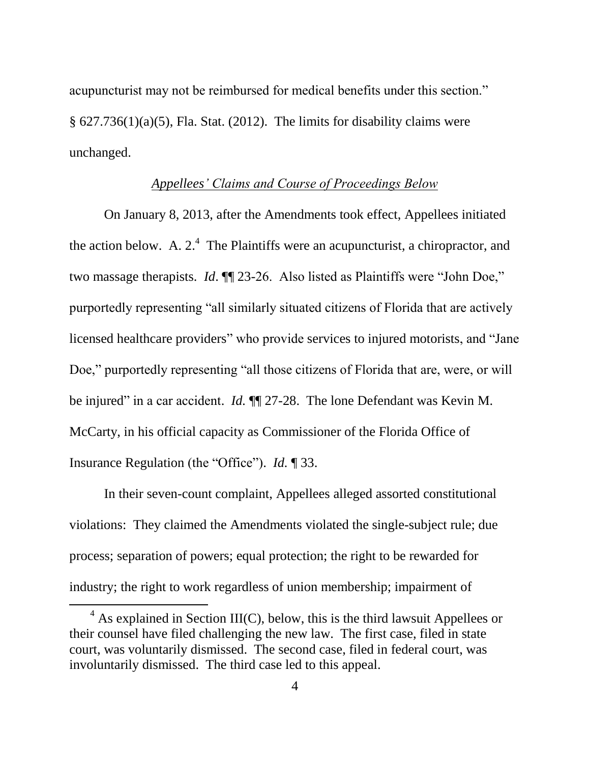acupuncturist may not be reimbursed for medical benefits under this section."  $\S$  627.736(1)(a)(5), Fla. Stat. (2012). The limits for disability claims were unchanged.

### *Appellees' Claims and Course of Proceedings Below*

On January 8, 2013, after the Amendments took effect, Appellees initiated the action below. A.  $2^4$  The Plaintiffs were an acupuncturist, a chiropractor, and two massage therapists. *Id*. ¶¶ 23-26. Also listed as Plaintiffs were "John Doe," purportedly representing "all similarly situated citizens of Florida that are actively licensed healthcare providers" who provide services to injured motorists, and "Jane Doe," purportedly representing "all those citizens of Florida that are, were, or will be injured" in a car accident. *Id.* ¶¶ 27-28. The lone Defendant was Kevin M. McCarty, in his official capacity as Commissioner of the Florida Office of Insurance Regulation (the "Office"). *Id.* ¶ 33.

In their seven-count complaint, Appellees alleged assorted constitutional violations: They claimed the Amendments violated the single-subject rule; due process; separation of powers; equal protection; the right to be rewarded for industry; the right to work regardless of union membership; impairment of

 $4$  As explained in Section III(C), below, this is the third lawsuit Appellees or their counsel have filed challenging the new law. The first case, filed in state court, was voluntarily dismissed. The second case, filed in federal court, was involuntarily dismissed. The third case led to this appeal.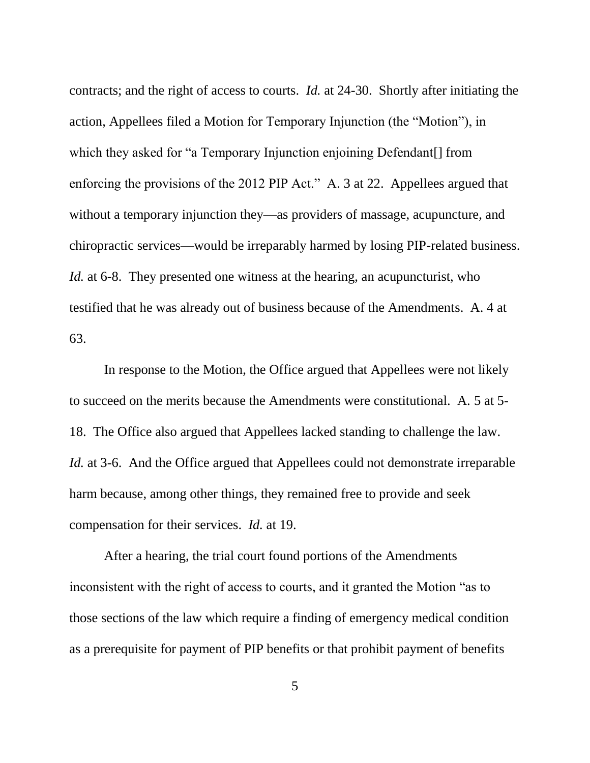contracts; and the right of access to courts. *Id.* at 24-30. Shortly after initiating the action, Appellees filed a Motion for Temporary Injunction (the "Motion"), in which they asked for "a Temporary Injunction enjoining Defendant[] from enforcing the provisions of the 2012 PIP Act." A. 3 at 22. Appellees argued that without a temporary injunction they—as providers of massage, acupuncture, and chiropractic services—would be irreparably harmed by losing PIP-related business. *Id.* at 6-8. They presented one witness at the hearing, an acupuncturist, who testified that he was already out of business because of the Amendments. A. 4 at 63.

In response to the Motion, the Office argued that Appellees were not likely to succeed on the merits because the Amendments were constitutional. A. 5 at 5- 18. The Office also argued that Appellees lacked standing to challenge the law. *Id.* at 3-6. And the Office argued that Appellees could not demonstrate irreparable harm because, among other things, they remained free to provide and seek compensation for their services. *Id.* at 19.

After a hearing, the trial court found portions of the Amendments inconsistent with the right of access to courts, and it granted the Motion "as to those sections of the law which require a finding of emergency medical condition as a prerequisite for payment of PIP benefits or that prohibit payment of benefits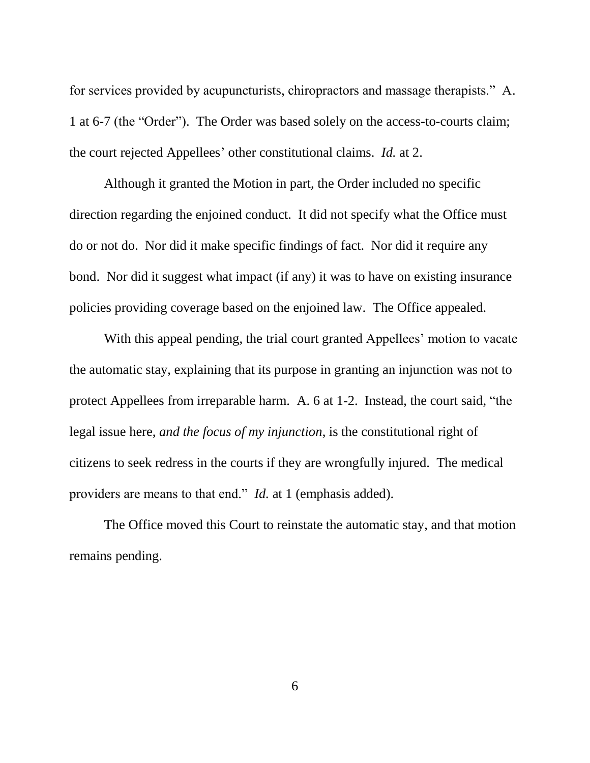for services provided by acupuncturists, chiropractors and massage therapists." A. 1 at 6-7 (the "Order"). The Order was based solely on the access-to-courts claim; the court rejected Appellees' other constitutional claims. *Id.* at 2.

Although it granted the Motion in part, the Order included no specific direction regarding the enjoined conduct. It did not specify what the Office must do or not do. Nor did it make specific findings of fact. Nor did it require any bond. Nor did it suggest what impact (if any) it was to have on existing insurance policies providing coverage based on the enjoined law. The Office appealed.

With this appeal pending, the trial court granted Appellees' motion to vacate the automatic stay, explaining that its purpose in granting an injunction was not to protect Appellees from irreparable harm. A. 6 at 1-2. Instead, the court said, "the legal issue here, *and the focus of my injunction*, is the constitutional right of citizens to seek redress in the courts if they are wrongfully injured. The medical providers are means to that end." *Id.* at 1 (emphasis added).

The Office moved this Court to reinstate the automatic stay, and that motion remains pending.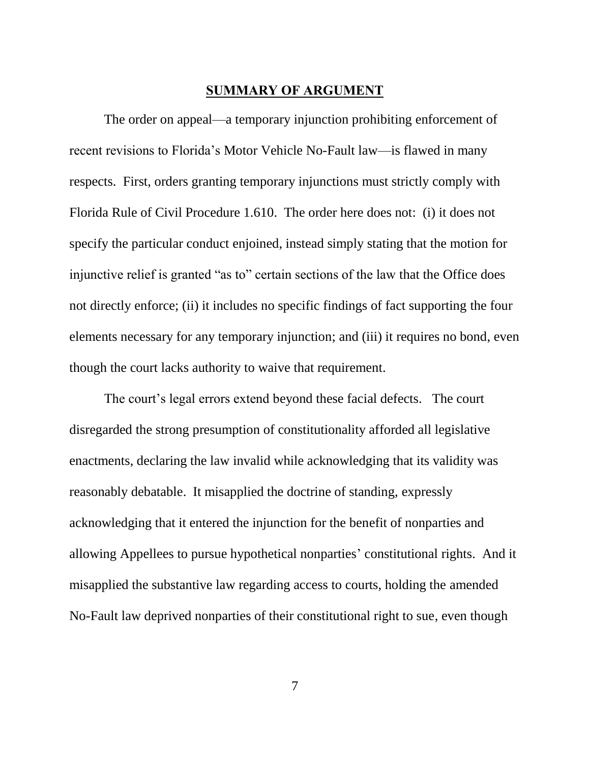#### **SUMMARY OF ARGUMENT**

<span id="page-13-0"></span>The order on appeal—a temporary injunction prohibiting enforcement of recent revisions to Florida's Motor Vehicle No-Fault law—is flawed in many respects. First, orders granting temporary injunctions must strictly comply with Florida Rule of Civil Procedure 1.610. The order here does not: (i) it does not specify the particular conduct enjoined, instead simply stating that the motion for injunctive relief is granted "as to" certain sections of the law that the Office does not directly enforce; (ii) it includes no specific findings of fact supporting the four elements necessary for any temporary injunction; and (iii) it requires no bond, even though the court lacks authority to waive that requirement.

The court's legal errors extend beyond these facial defects. The court disregarded the strong presumption of constitutionality afforded all legislative enactments, declaring the law invalid while acknowledging that its validity was reasonably debatable. It misapplied the doctrine of standing, expressly acknowledging that it entered the injunction for the benefit of nonparties and allowing Appellees to pursue hypothetical nonparties' constitutional rights. And it misapplied the substantive law regarding access to courts, holding the amended No-Fault law deprived nonparties of their constitutional right to sue, even though

7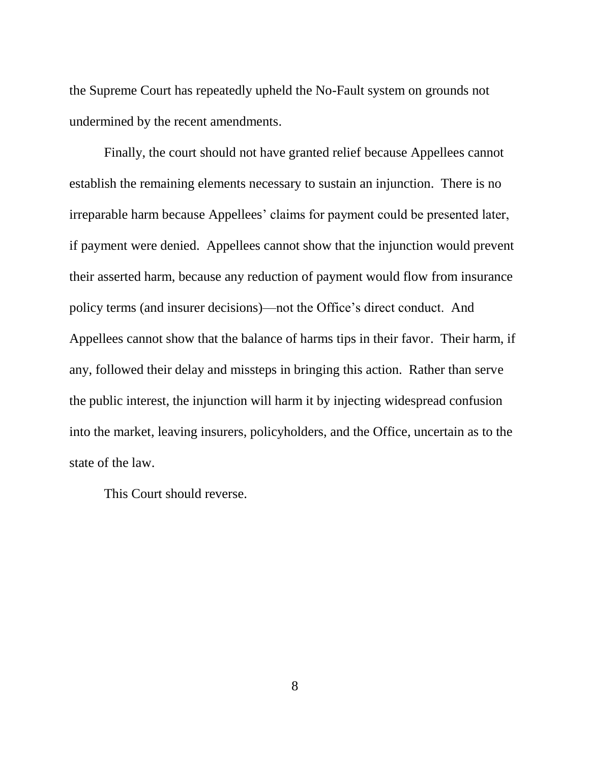the Supreme Court has repeatedly upheld the No-Fault system on grounds not undermined by the recent amendments.

Finally, the court should not have granted relief because Appellees cannot establish the remaining elements necessary to sustain an injunction. There is no irreparable harm because Appellees' claims for payment could be presented later, if payment were denied. Appellees cannot show that the injunction would prevent their asserted harm, because any reduction of payment would flow from insurance policy terms (and insurer decisions)—not the Office's direct conduct. And Appellees cannot show that the balance of harms tips in their favor. Their harm, if any, followed their delay and missteps in bringing this action. Rather than serve the public interest, the injunction will harm it by injecting widespread confusion into the market, leaving insurers, policyholders, and the Office, uncertain as to the state of the law.

This Court should reverse.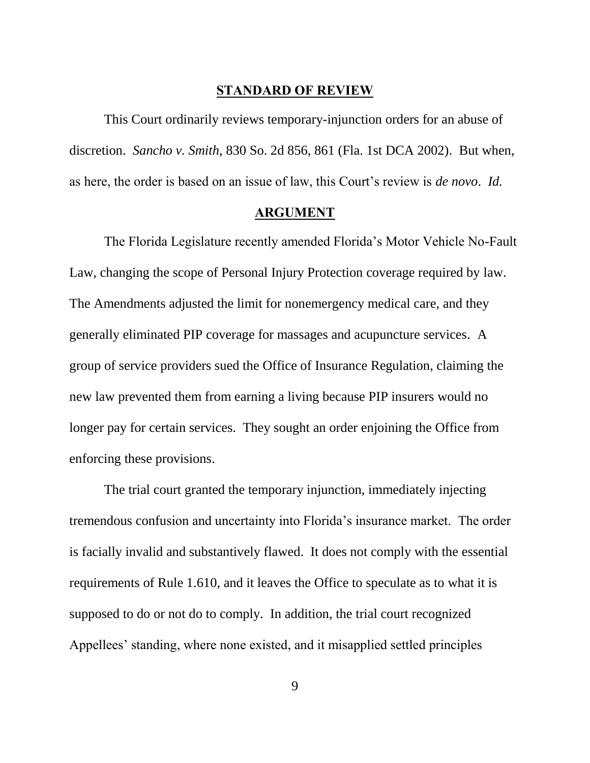#### **STANDARD OF REVIEW**

<span id="page-15-0"></span>This Court ordinarily reviews temporary-injunction orders for an abuse of discretion. *Sancho v. Smith*, 830 So. 2d 856, 861 (Fla. 1st DCA 2002). But when, as here, the order is based on an issue of law, this Court's review is *de novo*. *Id.*

#### **ARGUMENT**

<span id="page-15-1"></span>The Florida Legislature recently amended Florida's Motor Vehicle No-Fault Law, changing the scope of Personal Injury Protection coverage required by law. The Amendments adjusted the limit for nonemergency medical care, and they generally eliminated PIP coverage for massages and acupuncture services. A group of service providers sued the Office of Insurance Regulation, claiming the new law prevented them from earning a living because PIP insurers would no longer pay for certain services. They sought an order enjoining the Office from enforcing these provisions.

The trial court granted the temporary injunction, immediately injecting tremendous confusion and uncertainty into Florida's insurance market. The order is facially invalid and substantively flawed. It does not comply with the essential requirements of Rule 1.610, and it leaves the Office to speculate as to what it is supposed to do or not do to comply. In addition, the trial court recognized Appellees' standing, where none existed, and it misapplied settled principles

9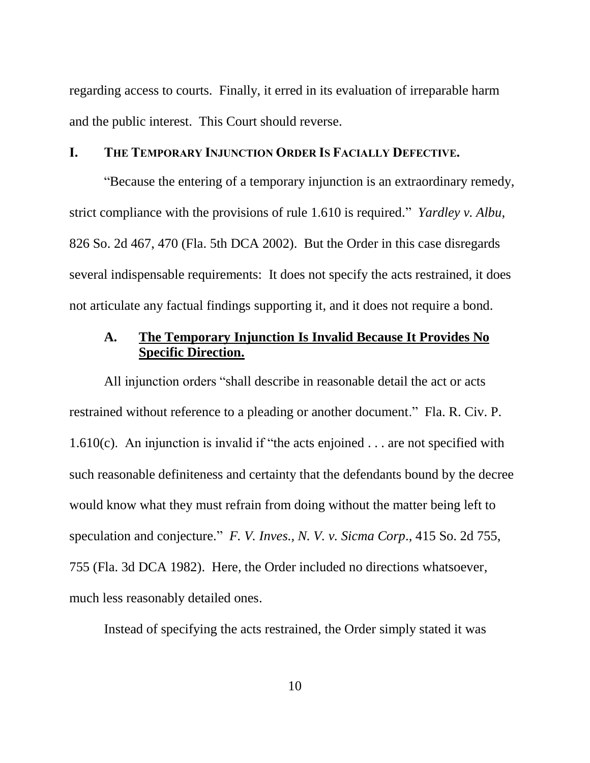regarding access to courts. Finally, it erred in its evaluation of irreparable harm and the public interest. This Court should reverse.

#### <span id="page-16-0"></span>**I. THE TEMPORARY INJUNCTION ORDER IS FACIALLY DEFECTIVE.**

"Because the entering of a temporary injunction is an extraordinary remedy, strict compliance with the provisions of rule 1.610 is required." *Yardley v. Albu*, 826 So. 2d 467, 470 (Fla. 5th DCA 2002). But the Order in this case disregards several indispensable requirements: It does not specify the acts restrained, it does not articulate any factual findings supporting it, and it does not require a bond.

### <span id="page-16-1"></span>**A. The Temporary Injunction Is Invalid Because It Provides No Specific Direction.**

All injunction orders "shall describe in reasonable detail the act or acts restrained without reference to a pleading or another document." Fla. R. Civ. P.  $1.610(c)$ . An injunction is invalid if "the acts enjoined ... are not specified with such reasonable definiteness and certainty that the defendants bound by the decree would know what they must refrain from doing without the matter being left to speculation and conjecture." *F. V. Inves., N. V. v. Sicma Corp*., 415 So. 2d 755, 755 (Fla. 3d DCA 1982). Here, the Order included no directions whatsoever, much less reasonably detailed ones.

Instead of specifying the acts restrained, the Order simply stated it was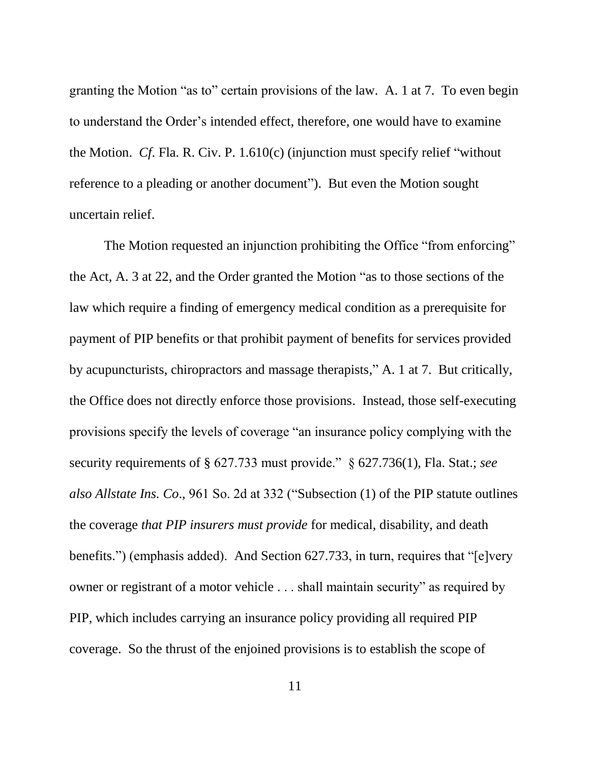granting the Motion "as to" certain provisions of the law. A. 1 at 7. To even begin to understand the Order's intended effect, therefore, one would have to examine the Motion. *Cf*. Fla. R. Civ. P. 1.610(c) (injunction must specify relief "without reference to a pleading or another document"). But even the Motion sought uncertain relief.

The Motion requested an injunction prohibiting the Office "from enforcing" the Act, A. 3 at 22, and the Order granted the Motion "as to those sections of the law which require a finding of emergency medical condition as a prerequisite for payment of PIP benefits or that prohibit payment of benefits for services provided by acupuncturists, chiropractors and massage therapists," A. 1 at 7. But critically, the Office does not directly enforce those provisions. Instead, those self-executing provisions specify the levels of coverage "an insurance policy complying with the security requirements of § 627.733 must provide." § 627.736(1), Fla. Stat.; *see also Allstate Ins. Co*., 961 So. 2d at 332 ("Subsection (1) of the PIP statute outlines the coverage *that PIP insurers must provide* for medical, disability, and death benefits.") (emphasis added). And Section 627.733, in turn, requires that "[e]very owner or registrant of a motor vehicle . . . shall maintain security" as required by PIP, which includes carrying an insurance policy providing all required PIP coverage. So the thrust of the enjoined provisions is to establish the scope of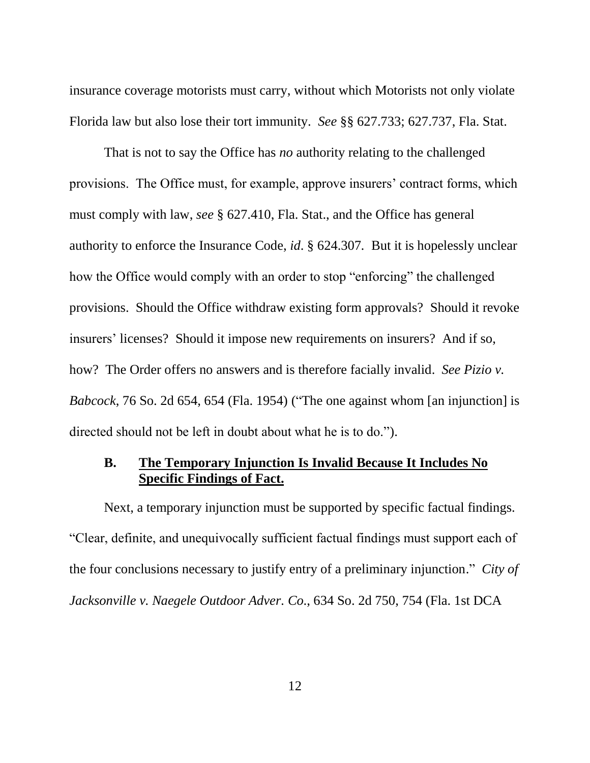insurance coverage motorists must carry, without which Motorists not only violate Florida law but also lose their tort immunity. *See* §§ 627.733; 627.737, Fla. Stat.

That is not to say the Office has *no* authority relating to the challenged provisions. The Office must, for example, approve insurers' contract forms, which must comply with law, *see* § 627.410, Fla. Stat., and the Office has general authority to enforce the Insurance Code, *id*. § 624.307*.* But it is hopelessly unclear how the Office would comply with an order to stop "enforcing" the challenged provisions. Should the Office withdraw existing form approvals? Should it revoke insurers' licenses? Should it impose new requirements on insurers? And if so, how? The Order offers no answers and is therefore facially invalid. *See Pizio v. Babcock*, 76 So. 2d 654, 654 (Fla. 1954) ("The one against whom [an injunction] is directed should not be left in doubt about what he is to do.").

### <span id="page-18-0"></span>**B. The Temporary Injunction Is Invalid Because It Includes No Specific Findings of Fact.**

Next, a temporary injunction must be supported by specific factual findings. "Clear, definite, and unequivocally sufficient factual findings must support each of the four conclusions necessary to justify entry of a preliminary injunction." *City of Jacksonville v. Naegele Outdoor Adver. Co*., 634 So. 2d 750, 754 (Fla. 1st DCA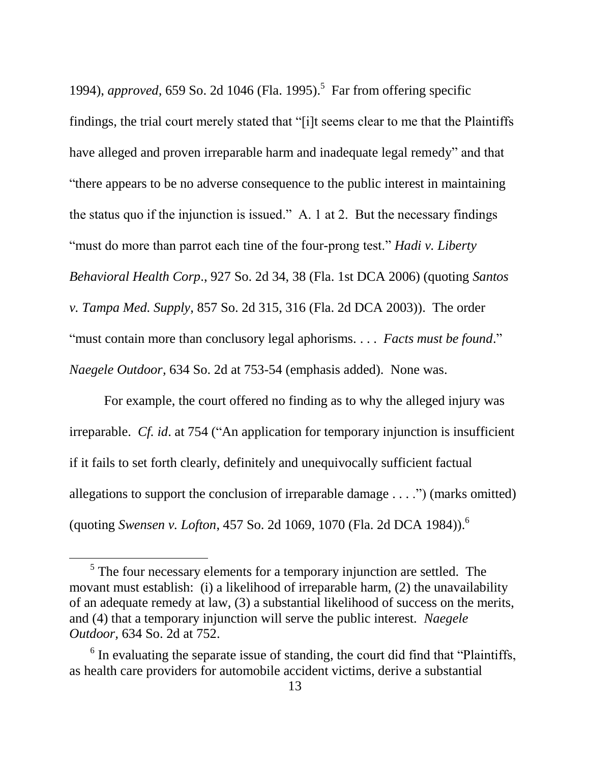1994), *approved,* 659 So. 2d 1046 (Fla. 1995). 5 Far from offering specific findings, the trial court merely stated that "[i]t seems clear to me that the Plaintiffs have alleged and proven irreparable harm and inadequate legal remedy" and that "there appears to be no adverse consequence to the public interest in maintaining the status quo if the injunction is issued." A. 1 at 2. But the necessary findings "must do more than parrot each tine of the four-prong test." *Hadi v. Liberty Behavioral Health Corp*., 927 So. 2d 34, 38 (Fla. 1st DCA 2006) (quoting *Santos v. Tampa Med. Supply*, 857 So. 2d 315, 316 (Fla. 2d DCA 2003)). The order "must contain more than conclusory legal aphorisms. . . . *Facts must be found*." *Naegele Outdoor,* 634 So. 2d at 753-54 (emphasis added). None was.

For example, the court offered no finding as to why the alleged injury was irreparable. *Cf. id*. at 754 ("An application for temporary injunction is insufficient if it fails to set forth clearly, definitely and unequivocally sufficient factual allegations to support the conclusion of irreparable damage  $\dots$ .") (marks omitted) (quoting *Swensen v. Lofton*, 457 So. 2d 1069, 1070 (Fla. 2d DCA 1984)).<sup>6</sup>

 $<sup>5</sup>$  The four necessary elements for a temporary injunction are settled. The</sup> movant must establish: (i) a likelihood of irreparable harm, (2) the unavailability of an adequate remedy at law, (3) a substantial likelihood of success on the merits, and (4) that a temporary injunction will serve the public interest. *Naegele Outdoor,* 634 So. 2d at 752.

 $6$  In evaluating the separate issue of standing, the court did find that "Plaintiffs, as health care providers for automobile accident victims, derive a substantial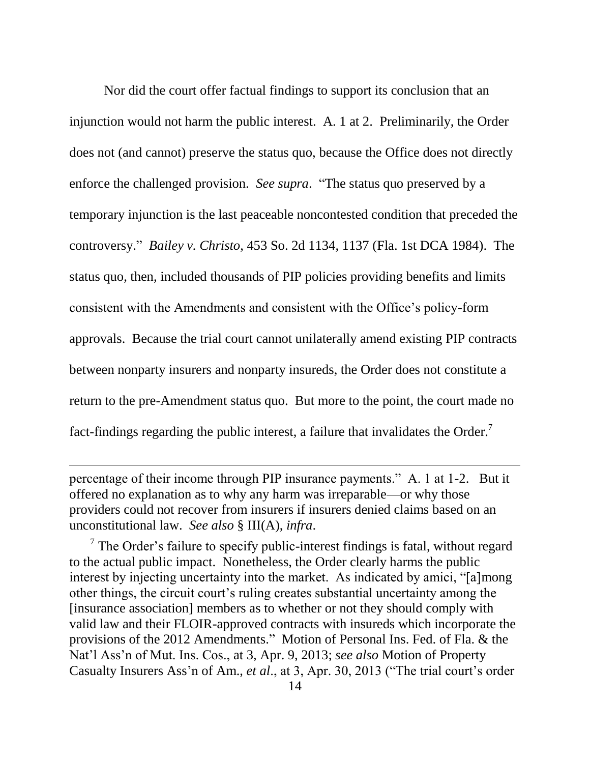Nor did the court offer factual findings to support its conclusion that an injunction would not harm the public interest. A. 1 at 2. Preliminarily, the Order does not (and cannot) preserve the status quo, because the Office does not directly enforce the challenged provision. *See supra*. "The status quo preserved by a temporary injunction is the last peaceable noncontested condition that preceded the controversy." *Bailey v. Christo*, 453 So. 2d 1134, 1137 (Fla. 1st DCA 1984). The status quo, then, included thousands of PIP policies providing benefits and limits consistent with the Amendments and consistent with the Office's policy-form approvals. Because the trial court cannot unilaterally amend existing PIP contracts between nonparty insurers and nonparty insureds, the Order does not constitute a return to the pre-Amendment status quo. But more to the point, the court made no fact-findings regarding the public interest, a failure that invalidates the Order.<sup>7</sup>

percentage of their income through PIP insurance payments." A. 1 at 1-2. But it offered no explanation as to why any harm was irreparable—or why those providers could not recover from insurers if insurers denied claims based on an unconstitutional law. *See also* § III(A), *infra*.

 $\overline{a}$ 

 $<sup>7</sup>$  The Order's failure to specify public-interest findings is fatal, without regard</sup> to the actual public impact. Nonetheless, the Order clearly harms the public interest by injecting uncertainty into the market. As indicated by amici, "[a]mong other things, the circuit court's ruling creates substantial uncertainty among the [insurance association] members as to whether or not they should comply with valid law and their FLOIR-approved contracts with insureds which incorporate the provisions of the 2012 Amendments." Motion of Personal Ins. Fed. of Fla. & the Nat'l Ass'n of Mut. Ins. Cos., at 3, Apr. 9, 2013; *see also* Motion of Property Casualty Insurers Ass'n of Am., *et al*., at 3, Apr. 30, 2013 ("The trial court's order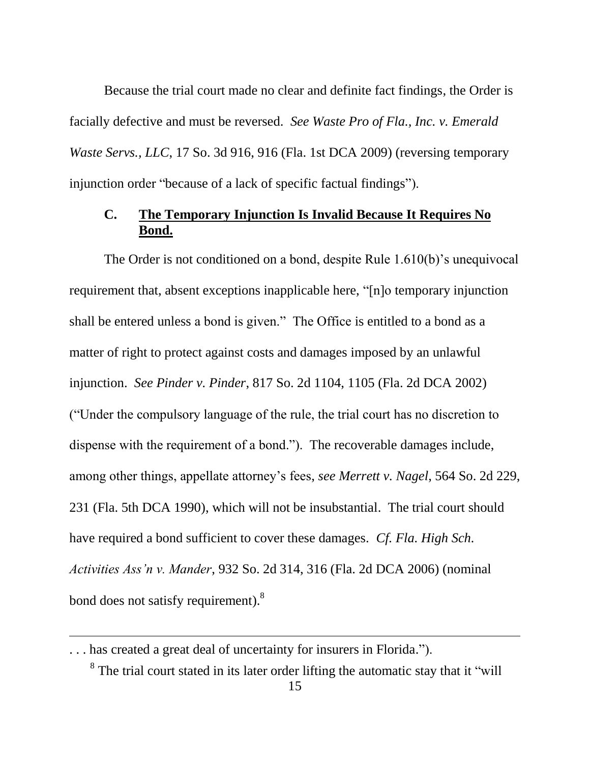Because the trial court made no clear and definite fact findings, the Order is facially defective and must be reversed. *See Waste Pro of Fla., Inc. v. Emerald Waste Servs., LLC*, 17 So. 3d 916, 916 (Fla. 1st DCA 2009) (reversing temporary injunction order "because of a lack of specific factual findings").

## <span id="page-21-0"></span>**C. The Temporary Injunction Is Invalid Because It Requires No Bond.**

The Order is not conditioned on a bond, despite Rule 1.610(b)'s unequivocal requirement that, absent exceptions inapplicable here, "[n]o temporary injunction shall be entered unless a bond is given." The Office is entitled to a bond as a matter of right to protect against costs and damages imposed by an unlawful injunction. *See Pinder v. Pinder*, 817 So. 2d 1104, 1105 (Fla. 2d DCA 2002) ("Under the compulsory language of the rule, the trial court has no discretion to dispense with the requirement of a bond."). The recoverable damages include, among other things, appellate attorney's fees, *see Merrett v. Nagel*, 564 So. 2d 229, 231 (Fla. 5th DCA 1990), which will not be insubstantial. The trial court should have required a bond sufficient to cover these damages. *Cf. Fla. High Sch. Activities Ass'n v. Mander*, 932 So. 2d 314, 316 (Fla. 2d DCA 2006) (nominal bond does not satisfy requirement).<sup>8</sup>

<sup>. . .</sup> has created a great deal of uncertainty for insurers in Florida.").

<sup>&</sup>lt;sup>8</sup> The trial court stated in its later order lifting the automatic stay that it "will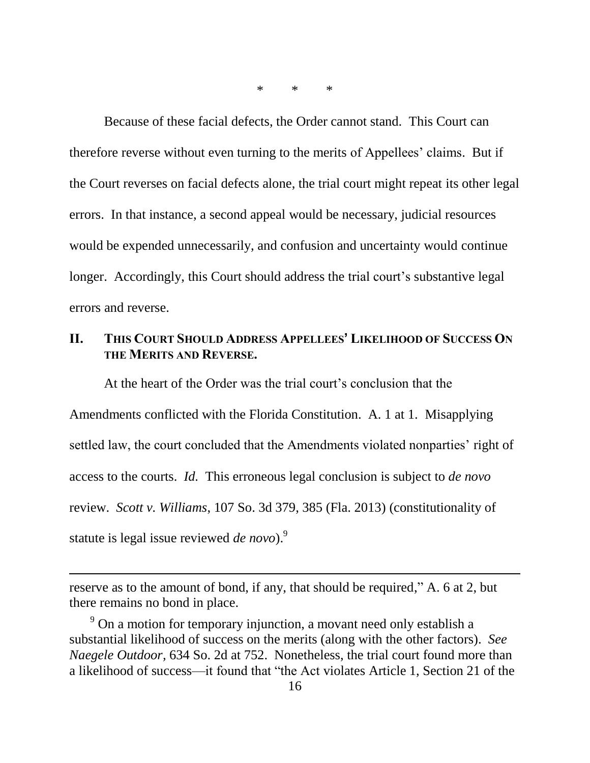\* \* \*

Because of these facial defects, the Order cannot stand. This Court can therefore reverse without even turning to the merits of Appellees' claims. But if the Court reverses on facial defects alone, the trial court might repeat its other legal errors. In that instance, a second appeal would be necessary, judicial resources would be expended unnecessarily, and confusion and uncertainty would continue longer. Accordingly, this Court should address the trial court's substantive legal errors and reverse.

## <span id="page-22-0"></span>**II. THIS COURT SHOULD ADDRESS APPELLEES' LIKELIHOOD OF SUCCESS ON THE MERITS AND REVERSE.**

At the heart of the Order was the trial court's conclusion that the Amendments conflicted with the Florida Constitution. A. 1 at 1. Misapplying settled law, the court concluded that the Amendments violated nonparties' right of access to the courts. *Id.* This erroneous legal conclusion is subject to *de novo* review. *Scott v. Williams*, 107 So. 3d 379, 385 (Fla. 2013) (constitutionality of statute is legal issue reviewed *de novo*).<sup>9</sup>

reserve as to the amount of bond, if any, that should be required," A. 6 at 2, but there remains no bond in place.

 $9$  On a motion for temporary injunction, a movant need only establish a substantial likelihood of success on the merits (along with the other factors). *See Naegele Outdoor,* 634 So. 2d at 752. Nonetheless, the trial court found more than a likelihood of success—it found that "the Act violates Article 1, Section 21 of the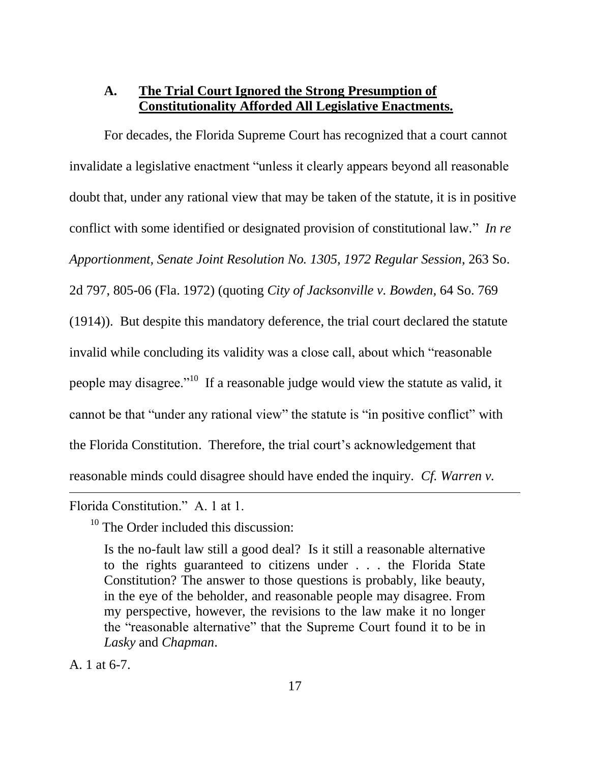### <span id="page-23-0"></span>**A. The Trial Court Ignored the Strong Presumption of Constitutionality Afforded All Legislative Enactments.**

For decades, the Florida Supreme Court has recognized that a court cannot invalidate a legislative enactment "unless it clearly appears beyond all reasonable doubt that, under any rational view that may be taken of the statute, it is in positive conflict with some identified or designated provision of constitutional law." *In re Apportionment, Senate Joint Resolution No. 1305, 1972 Regular Session*, 263 So. 2d 797, 805-06 (Fla. 1972) (quoting *City of Jacksonville v. Bowden,* 64 So. 769 (1914)). But despite this mandatory deference, the trial court declared the statute invalid while concluding its validity was a close call, about which "reasonable people may disagree."<sup>10</sup> If a reasonable judge would view the statute as valid, it cannot be that "under any rational view" the statute is "in positive conflict" with the Florida Constitution. Therefore, the trial court's acknowledgement that reasonable minds could disagree should have ended the inquiry. *Cf. Warren v.*   $\overline{a}$ 

Florida Constitution." A. 1 at 1.

<sup>10</sup> The Order included this discussion:

Is the no-fault law still a good deal? Is it still a reasonable alternative to the rights guaranteed to citizens under . . . the Florida State Constitution? The answer to those questions is probably, like beauty, in the eye of the beholder, and reasonable people may disagree. From my perspective, however, the revisions to the law make it no longer the "reasonable alternative" that the Supreme Court found it to be in *Lasky* and *Chapman*.

A. 1 at 6-7.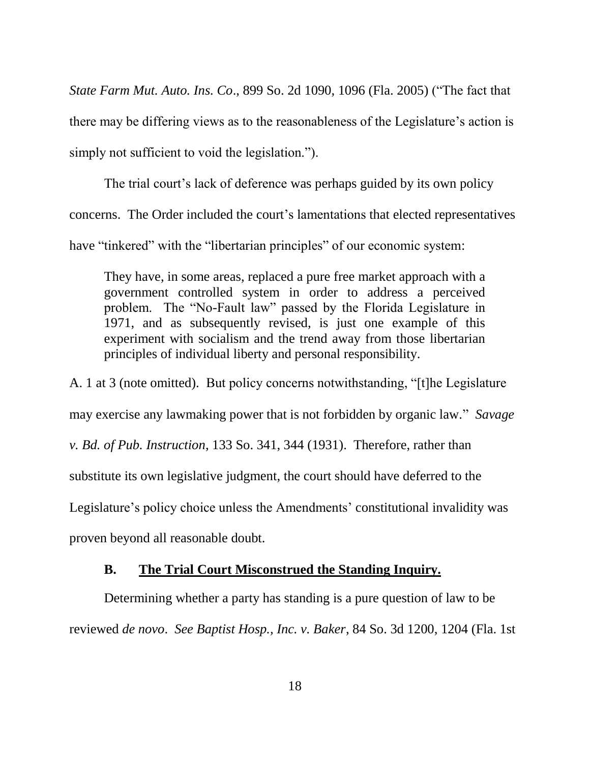*State Farm Mut. Auto. Ins. Co*., 899 So. 2d 1090, 1096 (Fla. 2005) ("The fact that there may be differing views as to the reasonableness of the Legislature's action is simply not sufficient to void the legislation.").

The trial court's lack of deference was perhaps guided by its own policy concerns. The Order included the court's lamentations that elected representatives have "tinkered" with the "libertarian principles" of our economic system:

They have, in some areas, replaced a pure free market approach with a government controlled system in order to address a perceived problem. The "No-Fault law" passed by the Florida Legislature in 1971, and as subsequently revised, is just one example of this experiment with socialism and the trend away from those libertarian principles of individual liberty and personal responsibility.

A. 1 at 3 (note omitted). But policy concerns notwithstanding, "[t]he Legislature may exercise any lawmaking power that is not forbidden by organic law." *Savage v. Bd. of Pub. Instruction*, 133 So. 341, 344 (1931). Therefore, rather than substitute its own legislative judgment, the court should have deferred to the Legislature's policy choice unless the Amendments' constitutional invalidity was proven beyond all reasonable doubt.

#### **B. The Trial Court Misconstrued the Standing Inquiry.**

<span id="page-24-0"></span>Determining whether a party has standing is a pure question of law to be reviewed *de novo*. *See Baptist Hosp., Inc. v. Baker*, 84 So. 3d 1200, 1204 (Fla. 1st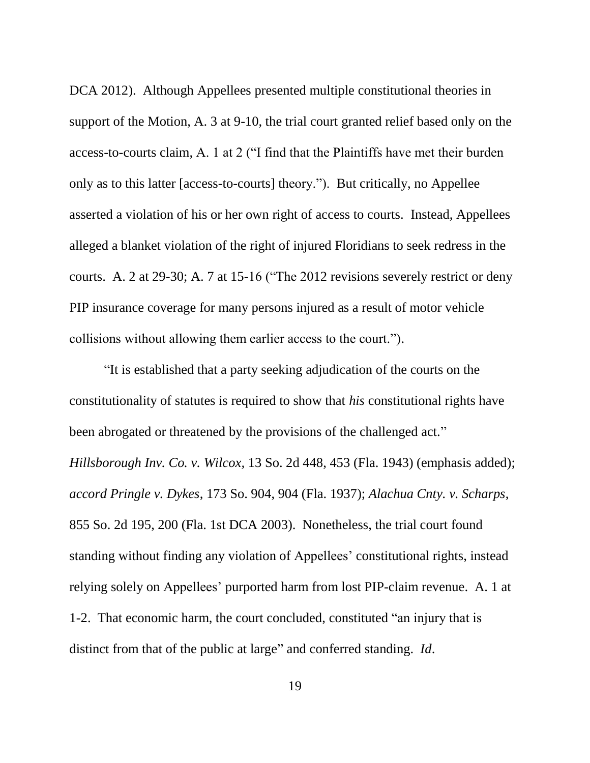DCA 2012). Although Appellees presented multiple constitutional theories in support of the Motion, A. 3 at 9-10, the trial court granted relief based only on the access-to-courts claim, A. 1 at 2 ("I find that the Plaintiffs have met their burden only as to this latter [access-to-courts] theory."). But critically, no Appellee asserted a violation of his or her own right of access to courts. Instead, Appellees alleged a blanket violation of the right of injured Floridians to seek redress in the courts. A. 2 at 29-30; A. 7 at 15-16 ("The 2012 revisions severely restrict or deny PIP insurance coverage for many persons injured as a result of motor vehicle collisions without allowing them earlier access to the court.").

"It is established that a party seeking adjudication of the courts on the constitutionality of statutes is required to show that *his* constitutional rights have been abrogated or threatened by the provisions of the challenged act." *Hillsborough Inv. Co. v. Wilcox,* 13 So. 2d 448, 453 (Fla. 1943) (emphasis added); *accord Pringle v. Dykes*, 173 So. 904, 904 (Fla. 1937); *Alachua Cnty. v. Scharps*, 855 So. 2d 195, 200 (Fla. 1st DCA 2003). Nonetheless, the trial court found standing without finding any violation of Appellees' constitutional rights, instead relying solely on Appellees' purported harm from lost PIP-claim revenue. A. 1 at 1-2. That economic harm, the court concluded, constituted "an injury that is distinct from that of the public at large" and conferred standing. *Id*.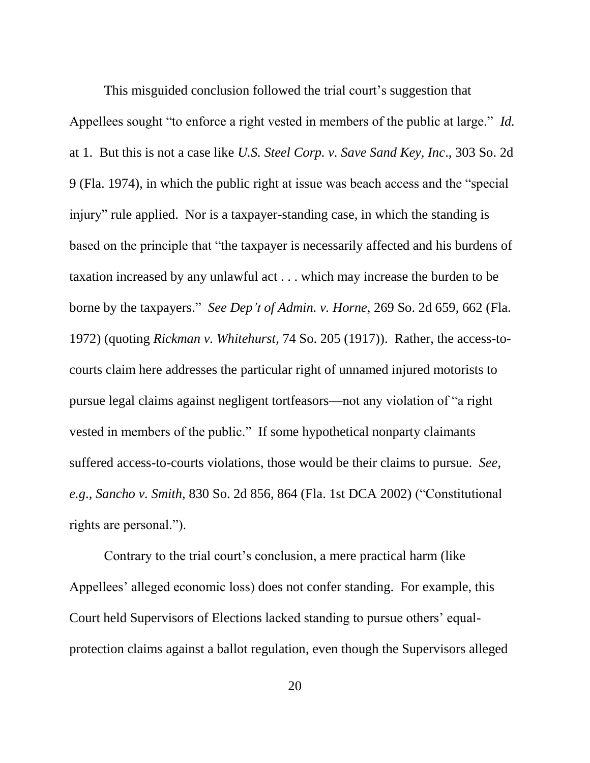This misguided conclusion followed the trial court's suggestion that Appellees sought "to enforce a right vested in members of the public at large." *Id.* at 1. But this is not a case like *U.S. Steel Corp. v. Save Sand Key, Inc*., 303 So. 2d 9 (Fla. 1974), in which the public right at issue was beach access and the "special injury" rule applied. Nor is a taxpayer-standing case, in which the standing is based on the principle that "the taxpayer is necessarily affected and his burdens of taxation increased by any unlawful act . . . which may increase the burden to be borne by the taxpayers." *See Dep't of Admin. v. Horne*, 269 So. 2d 659, 662 (Fla. 1972) (quoting *Rickman v. Whitehurst*, 74 So. 205 (1917)). Rather, the access-tocourts claim here addresses the particular right of unnamed injured motorists to pursue legal claims against negligent tortfeasors—not any violation of "a right vested in members of the public." If some hypothetical nonparty claimants suffered access-to-courts violations, those would be their claims to pursue. *See, e.g*., *Sancho v. Smith*, 830 So. 2d 856, 864 (Fla. 1st DCA 2002) ("Constitutional rights are personal.").

Contrary to the trial court's conclusion, a mere practical harm (like Appellees' alleged economic loss) does not confer standing. For example, this Court held Supervisors of Elections lacked standing to pursue others' equalprotection claims against a ballot regulation, even though the Supervisors alleged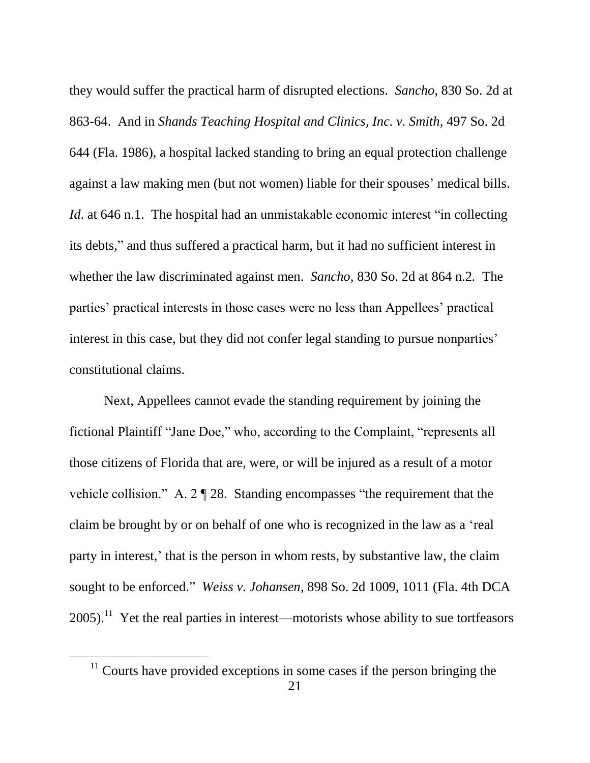they would suffer the practical harm of disrupted elections. *Sancho*, 830 So. 2d at 863-64. And in *Shands Teaching Hospital and Clinics, Inc. v. Smith*, 497 So. 2d 644 (Fla. 1986), a hospital lacked standing to bring an equal protection challenge against a law making men (but not women) liable for their spouses' medical bills. *Id.* at 646 n.1. The hospital had an unmistakable economic interest "in collecting its debts," and thus suffered a practical harm, but it had no sufficient interest in whether the law discriminated against men. *Sancho*, 830 So. 2d at 864 n.2*.* The parties' practical interests in those cases were no less than Appellees' practical interest in this case, but they did not confer legal standing to pursue nonparties' constitutional claims.

Next, Appellees cannot evade the standing requirement by joining the fictional Plaintiff "Jane Doe," who, according to the Complaint, "represents all those citizens of Florida that are, were, or will be injured as a result of a motor vehicle collision." A. 2 ¶ 28. Standing encompasses "the requirement that the claim be brought by or on behalf of one who is recognized in the law as a 'real party in interest,' that is the person in whom rests, by substantive law, the claim sought to be enforced." *Weiss v. Johansen*, 898 So. 2d 1009, 1011 (Fla. 4th DCA  $2005$ ).<sup>11</sup> Yet the real parties in interest—motorists whose ability to sue tortfeasors

 $11$  Courts have provided exceptions in some cases if the person bringing the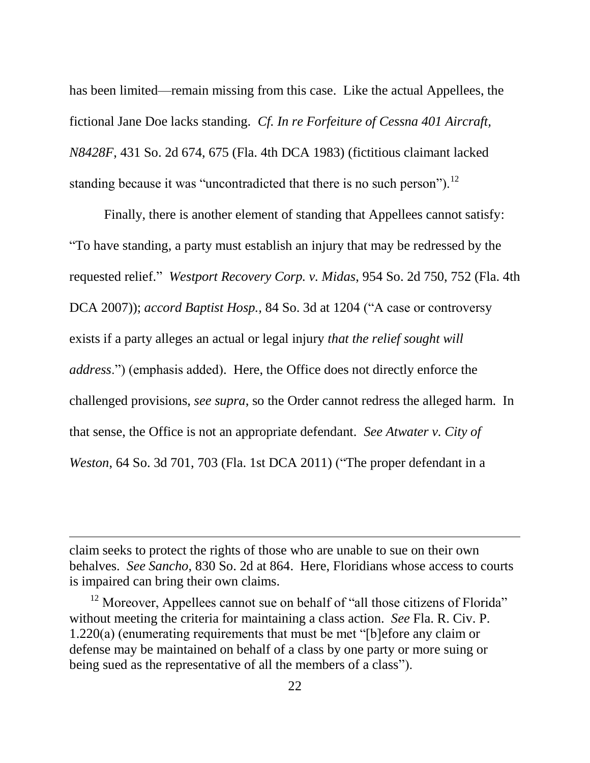has been limited—remain missing from this case. Like the actual Appellees, the fictional Jane Doe lacks standing. *Cf. In re Forfeiture of Cessna 401 Aircraft, N8428F*, 431 So. 2d 674, 675 (Fla. 4th DCA 1983) (fictitious claimant lacked standing because it was "uncontradicted that there is no such person").<sup>12</sup>

Finally, there is another element of standing that Appellees cannot satisfy: "To have standing, a party must establish an injury that may be redressed by the requested relief." *Westport Recovery Corp. v. Midas*, 954 So. 2d 750, 752 (Fla. 4th DCA 2007)); *accord Baptist Hosp.,* 84 So. 3d at 1204 ("A case or controversy exists if a party alleges an actual or legal injury *that the relief sought will address*.") (emphasis added). Here, the Office does not directly enforce the challenged provisions, *see supra*, so the Order cannot redress the alleged harm. In that sense, the Office is not an appropriate defendant. *See Atwater v. City of Weston*, 64 So. 3d 701, 703 (Fla. 1st DCA 2011) ("The proper defendant in a

claim seeks to protect the rights of those who are unable to sue on their own behalves. *See Sancho*, 830 So. 2d at 864. Here, Floridians whose access to courts is impaired can bring their own claims.

 $\overline{a}$ 

 $12$  Moreover, Appellees cannot sue on behalf of "all those citizens of Florida" without meeting the criteria for maintaining a class action. *See* Fla. R. Civ. P. 1.220(a) (enumerating requirements that must be met "[b]efore any claim or defense may be maintained on behalf of a class by one party or more suing or being sued as the representative of all the members of a class").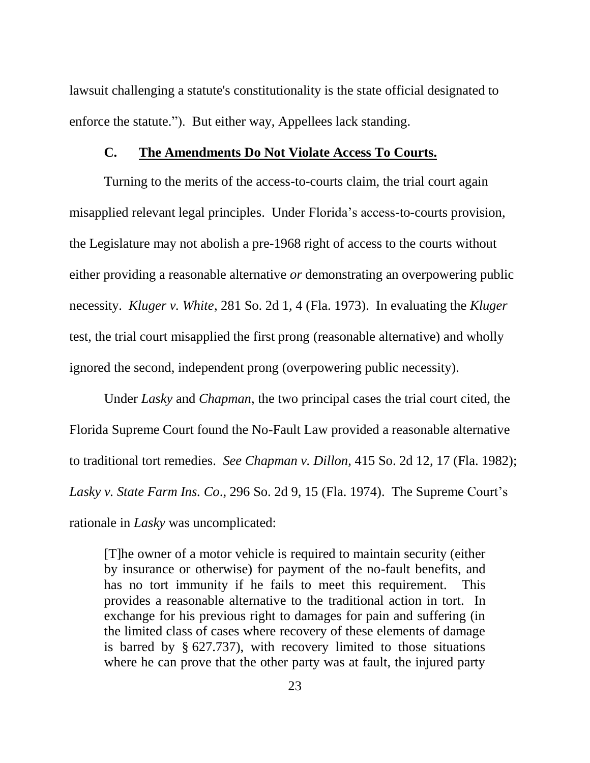lawsuit challenging a statute's constitutionality is the state official designated to enforce the statute."). But either way, Appellees lack standing.

#### **C. The Amendments Do Not Violate Access To Courts.**

<span id="page-29-0"></span>Turning to the merits of the access-to-courts claim, the trial court again misapplied relevant legal principles. Under Florida's access-to-courts provision, the Legislature may not abolish a pre-1968 right of access to the courts without either providing a reasonable alternative *or* demonstrating an overpowering public necessity. *Kluger v. White*, 281 So. 2d 1, 4 (Fla. 1973). In evaluating the *Kluger* test, the trial court misapplied the first prong (reasonable alternative) and wholly ignored the second, independent prong (overpowering public necessity).

Under *Lasky* and *Chapman*, the two principal cases the trial court cited, the Florida Supreme Court found the No-Fault Law provided a reasonable alternative to traditional tort remedies. *See Chapman v. Dillon*, 415 So. 2d 12, 17 (Fla. 1982); *Lasky v. State Farm Ins. Co*., 296 So. 2d 9, 15 (Fla. 1974). The Supreme Court's rationale in *Lasky* was uncomplicated:

[T]he owner of a motor vehicle is required to maintain security (either by insurance or otherwise) for payment of the no-fault benefits, and has no tort immunity if he fails to meet this requirement. This provides a reasonable alternative to the traditional action in tort. In exchange for his previous right to damages for pain and suffering (in the limited class of cases where recovery of these elements of damage is barred by § 627.737), with recovery limited to those situations where he can prove that the other party was at fault, the injured party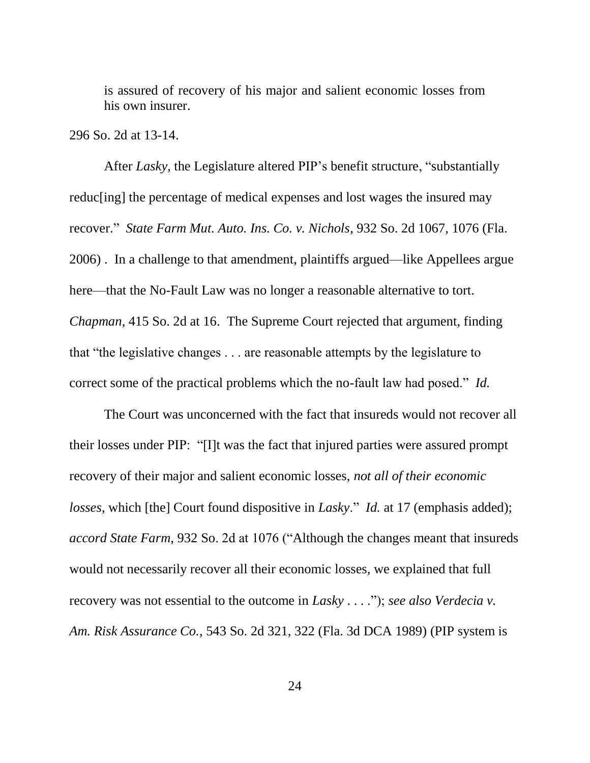is assured of recovery of his major and salient economic losses from his own insurer.

#### 296 So. 2d at 13-14.

After *Lasky*, the Legislature altered PIP's benefit structure, "substantially reduc[ing] the percentage of medical expenses and lost wages the insured may recover." *State Farm Mut. Auto. Ins. Co. v. Nichols*, 932 So. 2d 1067, 1076 (Fla. 2006) . In a challenge to that amendment, plaintiffs argued—like Appellees argue here—that the No-Fault Law was no longer a reasonable alternative to tort. *Chapman*, 415 So. 2d at 16. The Supreme Court rejected that argument, finding that "the legislative changes . . . are reasonable attempts by the legislature to correct some of the practical problems which the no-fault law had posed." *Id.*

The Court was unconcerned with the fact that insureds would not recover all their losses under PIP: "[I]t was the fact that injured parties were assured prompt recovery of their major and salient economic losses, *not all of their economic losses*, which [the] Court found dispositive in *Lasky*." *Id.* at 17 (emphasis added); *accord State Farm*, 932 So. 2d at 1076 ("Although the changes meant that insureds would not necessarily recover all their economic losses, we explained that full recovery was not essential to the outcome in *Lasky* . . . ."); *see also Verdecia v. Am. Risk Assurance Co.*, 543 So. 2d 321, 322 (Fla. 3d DCA 1989) (PIP system is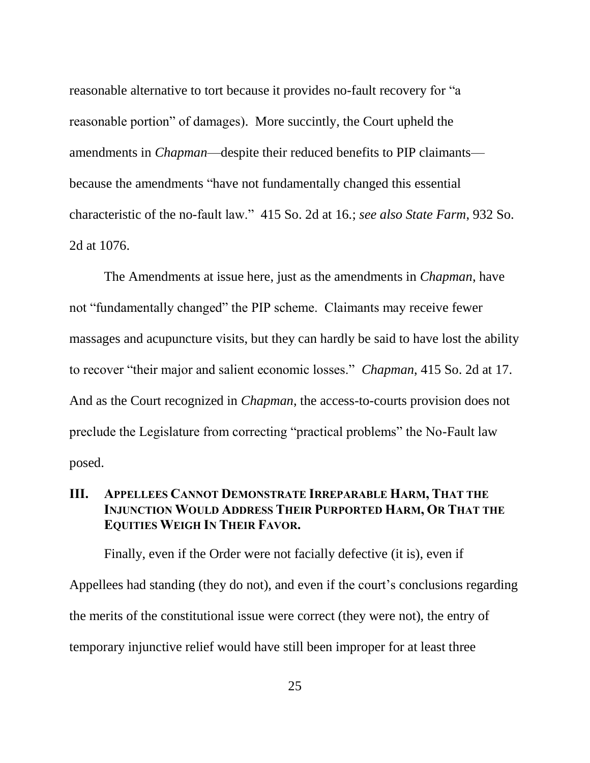reasonable alternative to tort because it provides no-fault recovery for "a reasonable portion" of damages). More succintly, the Court upheld the amendments in *Chapman*—despite their reduced benefits to PIP claimants because the amendments "have not fundamentally changed this essential characteristic of the no-fault law." 415 So. 2d at 16*.*; *see also State Farm*, 932 So. 2d at 1076.

The Amendments at issue here, just as the amendments in *Chapman*, have not "fundamentally changed" the PIP scheme. Claimants may receive fewer massages and acupuncture visits, but they can hardly be said to have lost the ability to recover "their major and salient economic losses." *Chapman*, 415 So. 2d at 17. And as the Court recognized in *Chapman*, the access-to-courts provision does not preclude the Legislature from correcting "practical problems" the No-Fault law posed.

## <span id="page-31-0"></span>**III. APPELLEES CANNOT DEMONSTRATE IRREPARABLE HARM, THAT THE INJUNCTION WOULD ADDRESS THEIR PURPORTED HARM, OR THAT THE EQUITIES WEIGH IN THEIR FAVOR.**

Finally, even if the Order were not facially defective (it is), even if Appellees had standing (they do not), and even if the court's conclusions regarding the merits of the constitutional issue were correct (they were not), the entry of temporary injunctive relief would have still been improper for at least three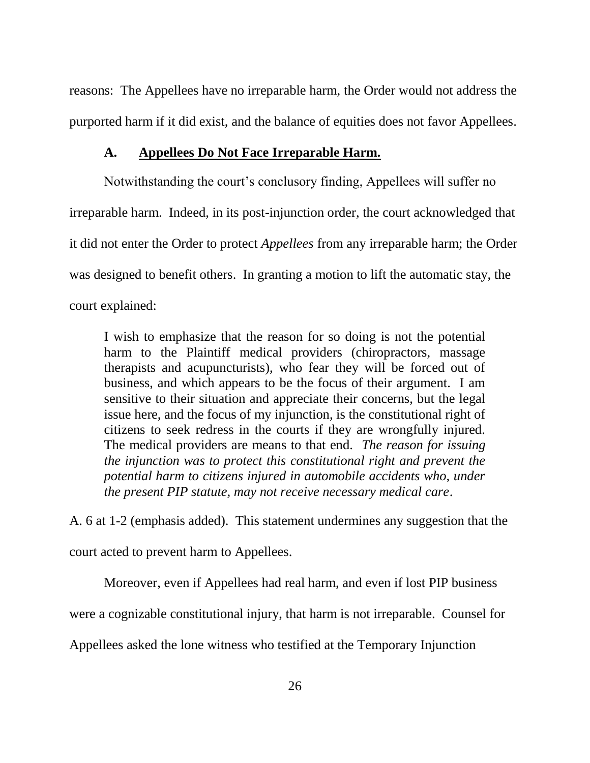reasons: The Appellees have no irreparable harm, the Order would not address the purported harm if it did exist, and the balance of equities does not favor Appellees.

#### **A. Appellees Do Not Face Irreparable Harm.**

<span id="page-32-0"></span>Notwithstanding the court's conclusory finding, Appellees will suffer no irreparable harm. Indeed, in its post-injunction order, the court acknowledged that it did not enter the Order to protect *Appellees* from any irreparable harm; the Order was designed to benefit others. In granting a motion to lift the automatic stay, the court explained:

I wish to emphasize that the reason for so doing is not the potential harm to the Plaintiff medical providers (chiropractors, massage therapists and acupuncturists), who fear they will be forced out of business, and which appears to be the focus of their argument. I am sensitive to their situation and appreciate their concerns, but the legal issue here, and the focus of my injunction, is the constitutional right of citizens to seek redress in the courts if they are wrongfully injured. The medical providers are means to that end. *The reason for issuing the injunction was to protect this constitutional right and prevent the potential harm to citizens injured in automobile accidents who, under the present PIP statute, may not receive necessary medical care*.

A. 6 at 1-2 (emphasis added). This statement undermines any suggestion that the court acted to prevent harm to Appellees.

Moreover, even if Appellees had real harm, and even if lost PIP business

were a cognizable constitutional injury, that harm is not irreparable. Counsel for

Appellees asked the lone witness who testified at the Temporary Injunction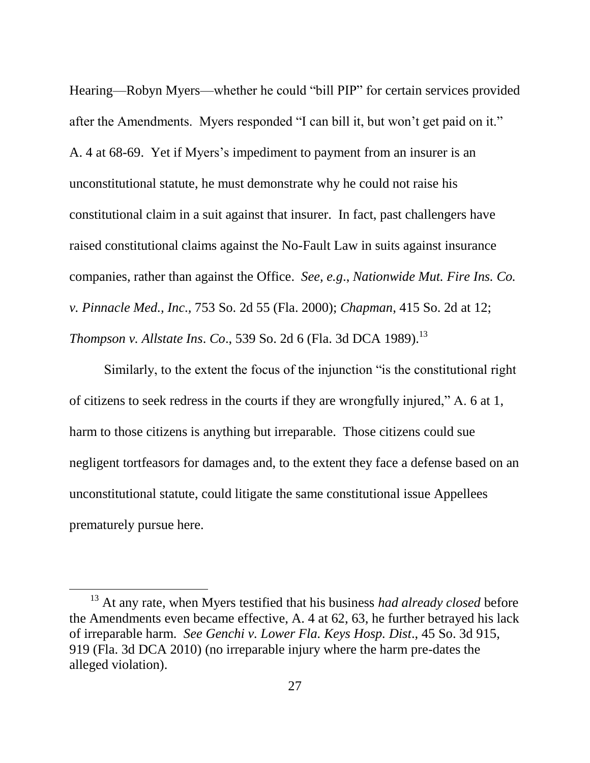Hearing—Robyn Myers—whether he could "bill PIP" for certain services provided after the Amendments. Myers responded "I can bill it, but won't get paid on it." A. 4 at 68-69. Yet if Myers's impediment to payment from an insurer is an unconstitutional statute, he must demonstrate why he could not raise his constitutional claim in a suit against that insurer. In fact, past challengers have raised constitutional claims against the No-Fault Law in suits against insurance companies, rather than against the Office. *See, e.g*., *Nationwide Mut. Fire Ins. Co. v. Pinnacle Med., Inc*.*,* 753 So. 2d 55 (Fla. 2000); *Chapman*, 415 So. 2d at 12; *Thompson v. Allstate Ins*. *Co*., 539 So. 2d 6 (Fla. 3d DCA 1989). 13

Similarly, to the extent the focus of the injunction "is the constitutional right of citizens to seek redress in the courts if they are wrongfully injured," A. 6 at 1, harm to those citizens is anything but irreparable. Those citizens could sue negligent tortfeasors for damages and, to the extent they face a defense based on an unconstitutional statute, could litigate the same constitutional issue Appellees prematurely pursue here.

<sup>&</sup>lt;sup>13</sup> At any rate, when Myers testified that his business *had already closed* before the Amendments even became effective, A. 4 at 62, 63, he further betrayed his lack of irreparable harm. *See Genchi v. Lower Fla. Keys Hosp. Dist*., 45 So. 3d 915, 919 (Fla. 3d DCA 2010) (no irreparable injury where the harm pre-dates the alleged violation).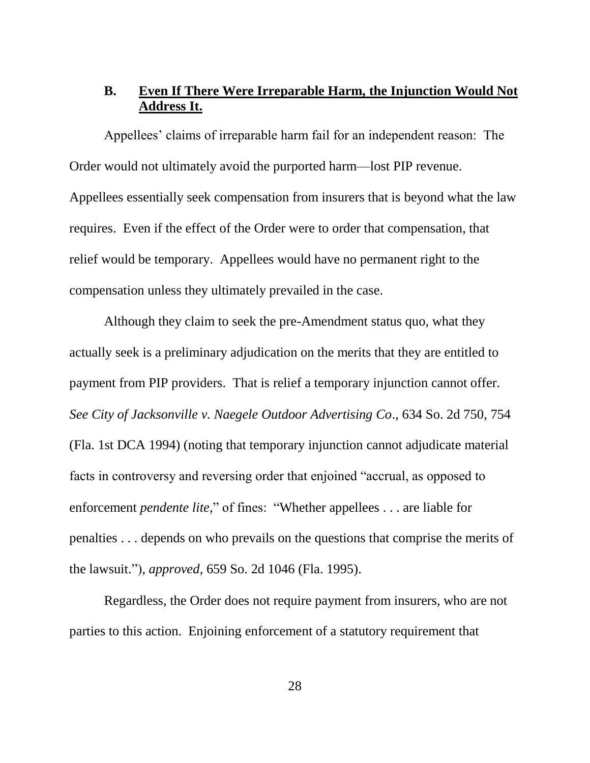### <span id="page-34-0"></span>**B. Even If There Were Irreparable Harm, the Injunction Would Not Address It.**

Appellees' claims of irreparable harm fail for an independent reason: The Order would not ultimately avoid the purported harm—lost PIP revenue. Appellees essentially seek compensation from insurers that is beyond what the law requires. Even if the effect of the Order were to order that compensation, that relief would be temporary. Appellees would have no permanent right to the compensation unless they ultimately prevailed in the case.

Although they claim to seek the pre-Amendment status quo, what they actually seek is a preliminary adjudication on the merits that they are entitled to payment from PIP providers. That is relief a temporary injunction cannot offer. *See City of Jacksonville v. Naegele Outdoor Advertising Co*.*,* 634 So. 2d 750, 754 (Fla. 1st DCA 1994) (noting that temporary injunction cannot adjudicate material facts in controversy and reversing order that enjoined "accrual, as opposed to enforcement *pendente lite,*" of fines: "Whether appellees . . . are liable for penalties . . . depends on who prevails on the questions that comprise the merits of the lawsuit."), *approved,* 659 So. 2d 1046 (Fla. 1995).

Regardless, the Order does not require payment from insurers, who are not parties to this action. Enjoining enforcement of a statutory requirement that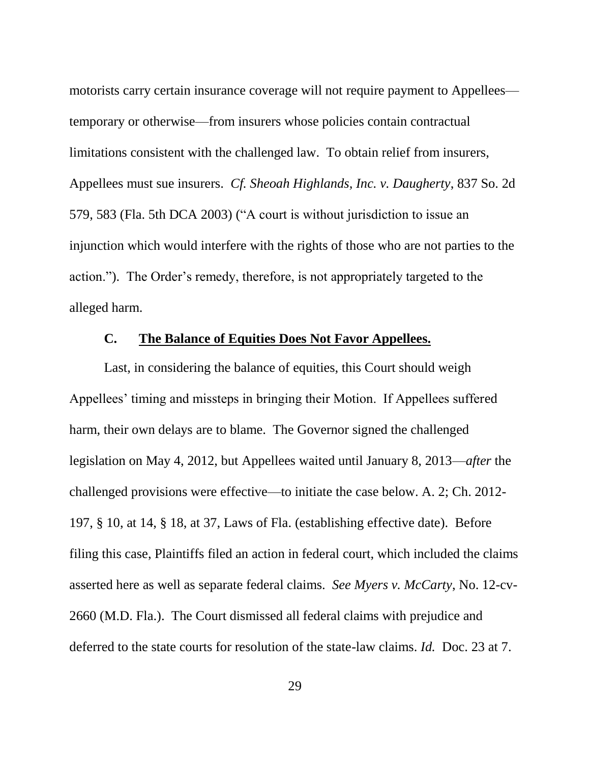motorists carry certain insurance coverage will not require payment to Appellees temporary or otherwise—from insurers whose policies contain contractual limitations consistent with the challenged law. To obtain relief from insurers, Appellees must sue insurers. *Cf. Sheoah Highlands, Inc. v. Daugherty*, 837 So. 2d 579, 583 (Fla. 5th DCA 2003) ("A court is without jurisdiction to issue an injunction which would interfere with the rights of those who are not parties to the action."). The Order's remedy, therefore, is not appropriately targeted to the alleged harm.

#### **C. The Balance of Equities Does Not Favor Appellees.**

<span id="page-35-0"></span>Last, in considering the balance of equities, this Court should weigh Appellees' timing and missteps in bringing their Motion. If Appellees suffered harm, their own delays are to blame. The Governor signed the challenged legislation on May 4, 2012, but Appellees waited until January 8, 2013—*after* the challenged provisions were effective—to initiate the case below. A. 2; Ch. 2012- 197, § 10, at 14, § 18, at 37, Laws of Fla. (establishing effective date). Before filing this case, Plaintiffs filed an action in federal court, which included the claims asserted here as well as separate federal claims. *See Myers v. McCarty*, No. 12-cv-2660 (M.D. Fla.). The Court dismissed all federal claims with prejudice and deferred to the state courts for resolution of the state-law claims. *Id.* Doc. 23 at 7.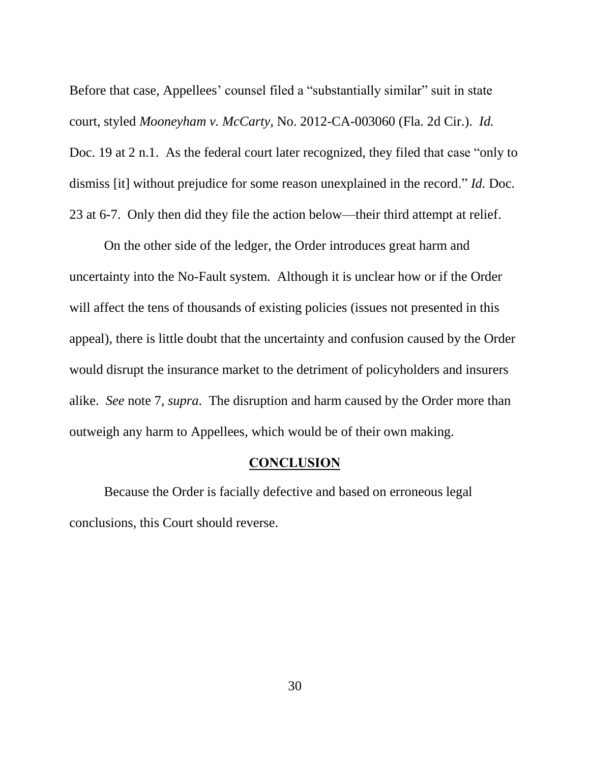Before that case, Appellees' counsel filed a "substantially similar" suit in state court, styled *Mooneyham v. McCarty*, No. 2012-CA-003060 (Fla. 2d Cir.). *Id.* Doc. 19 at 2 n.1. As the federal court later recognized, they filed that case "only to dismiss [it] without prejudice for some reason unexplained in the record." *Id.* Doc. 23 at 6-7. Only then did they file the action below—their third attempt at relief.

On the other side of the ledger, the Order introduces great harm and uncertainty into the No-Fault system. Although it is unclear how or if the Order will affect the tens of thousands of existing policies (issues not presented in this appeal), there is little doubt that the uncertainty and confusion caused by the Order would disrupt the insurance market to the detriment of policyholders and insurers alike. *See* note 7, *supra*. The disruption and harm caused by the Order more than outweigh any harm to Appellees, which would be of their own making.

#### **CONCLUSION**

<span id="page-36-0"></span>Because the Order is facially defective and based on erroneous legal conclusions, this Court should reverse.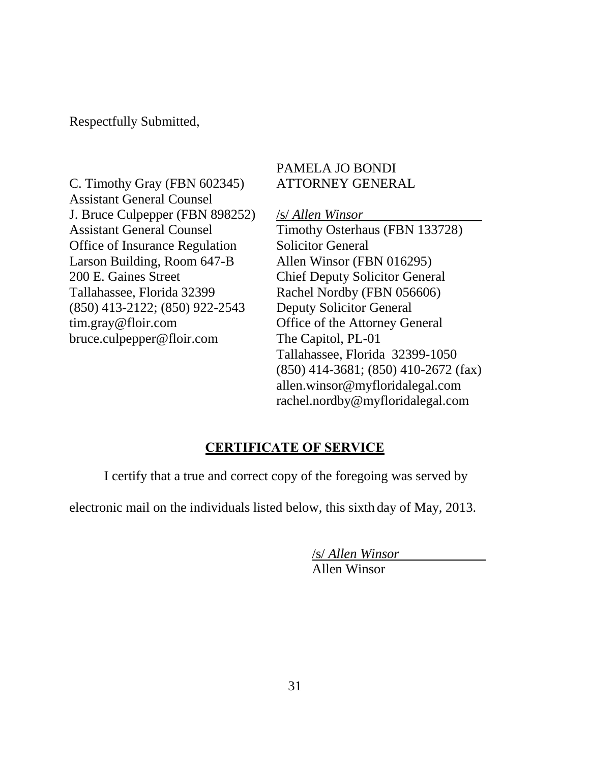Respectfully Submitted,

C. Timothy Gray (FBN 602345) Assistant General Counsel J. Bruce Culpepper (FBN 898252) Assistant General Counsel Office of Insurance Regulation Larson Building, Room 647-B 200 E. Gaines Street Tallahassee, Florida 32399 (850) 413-2122; (850) 922-2543 tim.gray@floir.com bruce.culpepper@floir.com

## PAMELA JO BONDI ATTORNEY GENERAL

/s/ *Allen Winsor*  Timothy Osterhaus (FBN 133728) Solicitor General Allen Winsor (FBN 016295) Chief Deputy Solicitor General Rachel Nordby (FBN 056606) Deputy Solicitor General Office of the Attorney General The Capitol, PL-01 Tallahassee, Florida 32399-1050 (850) 414-3681; (850) 410-2672 (fax) allen.winsor@myfloridalegal.com rachel.nordby@myfloridalegal.com

## **CERTIFICATE OF SERVICE**

<span id="page-37-0"></span>I certify that a true and correct copy of the foregoing was served by

electronic mail on the individuals listed below, this sixth day of May, 2013.

/s/ *Allen Winsor*

Allen Winsor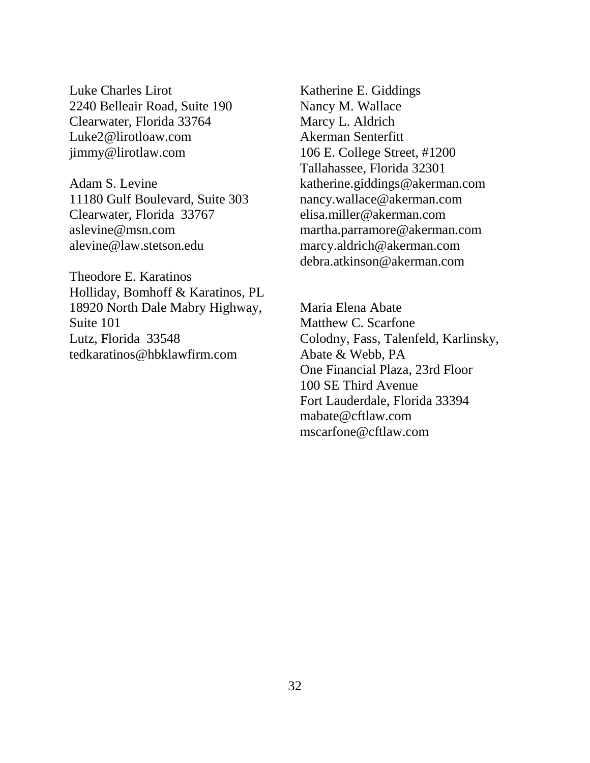Luke Charles Lirot 2240 Belleair Road, Suite 190 Clearwater, Florida 33764 Luke2@lirotloaw.com jimmy@lirotlaw.com

Adam S. Levine 11180 Gulf Boulevard, Suite 303 Clearwater, Florida 33767 aslevine@msn.com alevine@law.stetson.edu

Theodore E. Karatinos Holliday, Bomhoff & Karatinos, PL 18920 North Dale Mabry Highway, Suite 101 Lutz, Florida 33548 tedkaratinos@hbklawfirm.com

Katherine E. Giddings Nancy M. Wallace Marcy L. Aldrich Akerman Senterfitt 106 E. College Street, #1200 Tallahassee, Florida 32301 katherine.giddings@akerman.com nancy.wallace@akerman.com elisa.miller@akerman.com martha.parramore@akerman.com marcy.aldrich@akerman.com debra.atkinson@akerman.com

Maria Elena Abate Matthew C. Scarfone Colodny, Fass, Talenfeld, Karlinsky, Abate & Webb, PA One Financial Plaza, 23rd Floor 100 SE Third Avenue Fort Lauderdale, Florida 33394 mabate@cftlaw.com mscarfone@cftlaw.com